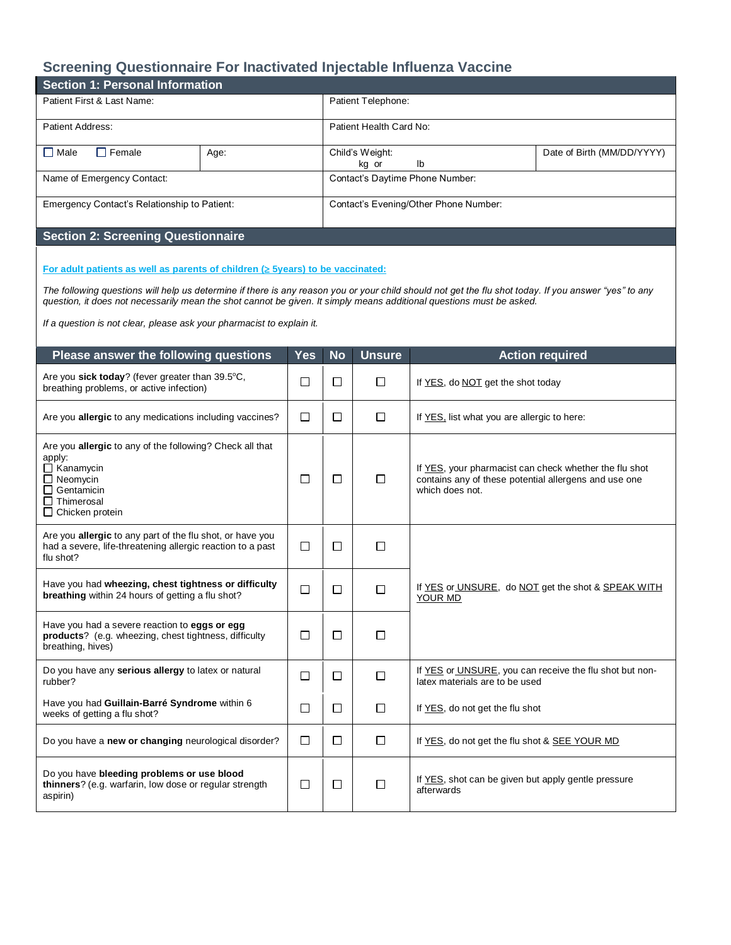## **Screening Questionnaire For Inactivated Injectable Influenza Vaccine**

| <b>Section 1: Personal Information</b>                                                                                                                                                                                                                                                                                                                                                                                                      |  |        |                                                              |               |                                                                                                                                    |                        |  |  |  |
|---------------------------------------------------------------------------------------------------------------------------------------------------------------------------------------------------------------------------------------------------------------------------------------------------------------------------------------------------------------------------------------------------------------------------------------------|--|--------|--------------------------------------------------------------|---------------|------------------------------------------------------------------------------------------------------------------------------------|------------------------|--|--|--|
| Patient First & Last Name:                                                                                                                                                                                                                                                                                                                                                                                                                  |  |        | Patient Telephone:                                           |               |                                                                                                                                    |                        |  |  |  |
| Patient Address:                                                                                                                                                                                                                                                                                                                                                                                                                            |  |        | Patient Health Card No:                                      |               |                                                                                                                                    |                        |  |  |  |
| $\Box$ Male<br>$\Box$ Female<br>Age:                                                                                                                                                                                                                                                                                                                                                                                                        |  |        | Child's Weight:<br>Date of Birth (MM/DD/YYYY)<br>lb<br>kg or |               |                                                                                                                                    |                        |  |  |  |
| Name of Emergency Contact:                                                                                                                                                                                                                                                                                                                                                                                                                  |  |        | Contact's Daytime Phone Number:                              |               |                                                                                                                                    |                        |  |  |  |
| Emergency Contact's Relationship to Patient:                                                                                                                                                                                                                                                                                                                                                                                                |  |        | Contact's Evening/Other Phone Number:                        |               |                                                                                                                                    |                        |  |  |  |
| <b>Section 2: Screening Questionnaire</b>                                                                                                                                                                                                                                                                                                                                                                                                   |  |        |                                                              |               |                                                                                                                                    |                        |  |  |  |
| For adult patients as well as parents of children $($ > 5years) to be vaccinated:<br>The following questions will help us determine if there is any reason you or your child should not get the flu shot today. If you answer "yes" to any<br>question, it does not necessarily mean the shot cannot be given. It simply means additional questions must be asked.<br>If a question is not clear, please ask your pharmacist to explain it. |  |        |                                                              |               |                                                                                                                                    |                        |  |  |  |
| Please answer the following questions                                                                                                                                                                                                                                                                                                                                                                                                       |  | Yes    | <b>No</b>                                                    | <b>Unsure</b> |                                                                                                                                    | <b>Action required</b> |  |  |  |
| Are you sick today? (fever greater than 39.5°C,<br>breathing problems, or active infection)                                                                                                                                                                                                                                                                                                                                                 |  | □      | □                                                            | □             | If YES, do NOT get the shot today                                                                                                  |                        |  |  |  |
| Are you allergic to any medications including vaccines?                                                                                                                                                                                                                                                                                                                                                                                     |  | □      | □                                                            | □             | If YES, list what you are allergic to here:                                                                                        |                        |  |  |  |
| Are you allergic to any of the following? Check all that<br>apply:<br>$\Box$ Kanamycin<br>$\Box$ Neomycin<br>$\Box$ Gentamicin<br>$\Box$ Thimerosal<br>$\Box$ Chicken protein                                                                                                                                                                                                                                                               |  | □      | □                                                            | □             | If YES, your pharmacist can check whether the flu shot<br>contains any of these potential allergens and use one<br>which does not. |                        |  |  |  |
| Are you <b>allergic</b> to any part of the flu shot, or have you<br>had a severe, life-threatening allergic reaction to a past<br>flu shot?                                                                                                                                                                                                                                                                                                 |  | □      | □                                                            | $\Box$        |                                                                                                                                    |                        |  |  |  |
| Have you had wheezing, chest tightness or difficulty<br>breathing within 24 hours of getting a flu shot?                                                                                                                                                                                                                                                                                                                                    |  | □      | □                                                            | □             | If YES or UNSURE, do NOT get the shot & SPEAK WITH<br>YOUR MD                                                                      |                        |  |  |  |
| Have you had a severe reaction to eggs or egg<br>products? (e.g. wheezing, chest tightness, difficulty<br>breathing, hives)                                                                                                                                                                                                                                                                                                                 |  | □      | ⊔                                                            | ப             |                                                                                                                                    |                        |  |  |  |
| Do you have any serious allergy to latex or natural<br>rubber?                                                                                                                                                                                                                                                                                                                                                                              |  | □      | □                                                            | $\Box$        | If YES or UNSURE, you can receive the flu shot but non-<br>latex materials are to be used                                          |                        |  |  |  |
| Have you had Guillain-Barré Syndrome within 6<br>weeks of getting a flu shot?                                                                                                                                                                                                                                                                                                                                                               |  | □      | □                                                            | □             | If YES, do not get the flu shot                                                                                                    |                        |  |  |  |
| Do you have a new or changing neurological disorder?                                                                                                                                                                                                                                                                                                                                                                                        |  | $\Box$ | $\Box$                                                       | $\Box$        | If YES, do not get the flu shot & SEE YOUR MD                                                                                      |                        |  |  |  |
| Do you have bleeding problems or use blood<br>thinners? (e.g. warfarin, low dose or regular strength<br>aspirin)                                                                                                                                                                                                                                                                                                                            |  | □      | □                                                            | □             | If YES, shot can be given but apply gentle pressure<br>afterwards                                                                  |                        |  |  |  |